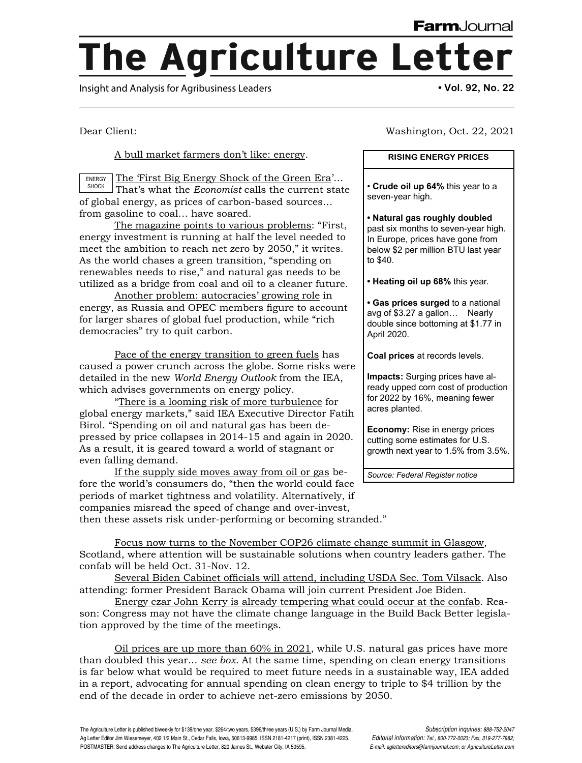## **The Agriculture Letter**

Insight and Analysis for Agribusiness Leaders **• Vol. 92, No. 22**

Dear Client:

A bull market farmers don't like: energy.

The 'First Big Energy Shock of the Green Era'… That's what the *Economist* calls the current state of global energy, as prices of carbon-based sources… from gasoline to coal… have soared. ENERGY SHOCK

The magazine points to various problems: "First, energy investment is running at half the level needed to meet the ambition to reach net zero by 2050," it writes. As the world chases a green transition, "spending on renewables needs to rise," and natural gas needs to be utilized as a bridge from coal and oil to a cleaner future.

Another problem: autocracies' growing role in energy, as Russia and OPEC members figure to account for larger shares of global fuel production, while "rich democracies" try to quit carbon.

Pace of the energy transition to green fuels has caused a power crunch across the globe. Some risks were detailed in the new *World Energy Outlook* from the IEA, which advises governments on energy policy.

"There is a looming risk of more turbulence for global energy markets," said IEA Executive Director Fatih Birol. "Spending on oil and natural gas has been depressed by price collapses in 2014-15 and again in 2020. As a result, it is geared toward a world of stagnant or even falling demand.

If the supply side moves away from oil or gas before the world's consumers do, "then the world could face periods of market tightness and volatility. Alternatively, if companies misread the speed of change and over-invest, then these assets risk under-performing or becoming stranded."

Washington, Oct. 22, 2021

## **RISING ENERGY PRICES**

• **Crude oil up 64%** this year to a seven-year high.

**• Natural gas roughly doubled** past six months to seven-year high. In Europe, prices have gone from below \$2 per million BTU last year to \$40.

**• Heating oil up 68%** this year.

**• Gas prices surged** to a national avg of \$3.27 a gallon… Nearly double since bottoming at \$1.77 in April 2020.

**Coal prices** at records levels.

**Impacts:** Surging prices have already upped corn cost of production for 2022 by 16%, meaning fewer acres planted.

**Economy:** Rise in energy prices cutting some estimates for U.S. growth next year to 1.5% from 3.5%.

*Source: Federal Register notice*

Focus now turns to the November COP26 climate change summit in Glasgow, Scotland, where attention will be sustainable solutions when country leaders gather. The confab will be held Oct. 31-Nov. 12.

Several Biden Cabinet officials will attend, including USDA Sec. Tom Vilsack. Also attending: former President Barack Obama will join current President Joe Biden.

Energy czar John Kerry is already tempering what could occur at the confab. Reason: Congress may not have the climate change language in the Build Back Better legislation approved by the time of the meetings.

Oil prices are up more than  $60\%$  in  $2021$ , while U.S. natural gas prices have more than doubled this year... *see box.* At the same time, spending on clean energy transitions is far below what would be required to meet future needs in a sustainable way, IEA added in a report, advocating for annual spending on clean energy to triple to \$4 trillion by the end of the decade in order to achieve net-zero emissions by 2050.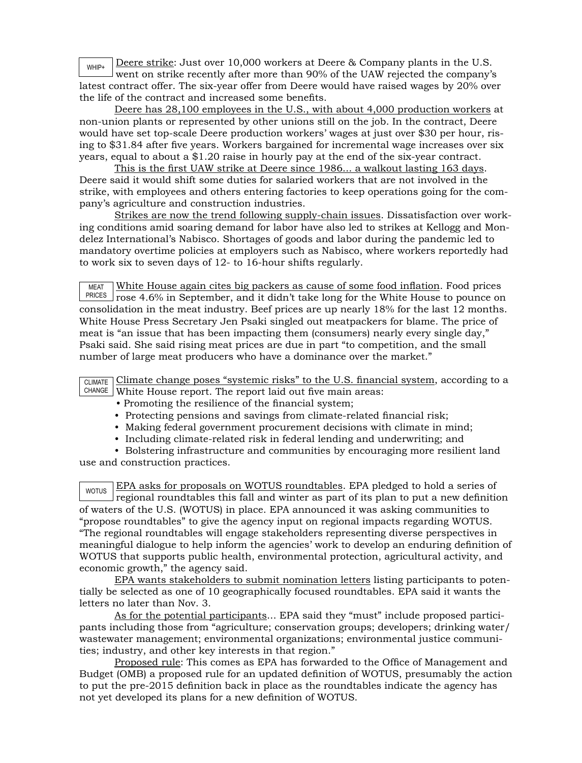Deere strike: Just over 10,000 workers at Deere & Company plants in the U.S. went on strike recently after more than 90% of the UAW rejected the company's latest contract offer. The six-year offer from Deere would have raised wages by 20% over the life of the contract and increased some benefits. WHIP+

Deere has 28,100 employees in the U.S., with about 4,000 production workers at non-union plants or represented by other unions still on the job. In the contract, Deere would have set top-scale Deere production workers' wages at just over \$30 per hour, rising to \$31.84 after five years. Workers bargained for incremental wage increases over six years, equal to about a \$1.20 raise in hourly pay at the end of the six-year contract.

This is the first UAW strike at Deere since 1986... a walkout lasting 163 days. Deere said it would shift some duties for salaried workers that are not involved in the strike, with employees and others entering factories to keep operations going for the company's agriculture and construction industries.

Strikes are now the trend following supply-chain issues. Dissatisfaction over working conditions amid soaring demand for labor have also led to strikes at Kellogg and Mondelez International's Nabisco. Shortages of goods and labor during the pandemic led to mandatory overtime policies at employers such as Nabisco, where workers reportedly had to work six to seven days of 12- to 16-hour shifts regularly.

MEAT <sup>PRICES</sup> | rose 4.6% in September, and it didn't take long for the White House to pounce on White House again cites big packers as cause of some food inflation. Food prices consolidation in the meat industry. Beef prices are up nearly 18% for the last 12 months. White House Press Secretary Jen Psaki singled out meatpackers for blame. The price of meat is "an issue that has been impacting them (consumers) nearly every single day," Psaki said. She said rising meat prices are due in part "to competition, and the small number of large meat producers who have a dominance over the market."

| $\overline{\text{CLIMATE}}$ Climate change poses "systemic risks" to the U.S. financial system, according to a |  |
|----------------------------------------------------------------------------------------------------------------|--|
| CHANGE White House report. The report laid out five main areas:                                                |  |

- Promoting the resilience of the financial system;
- Protecting pensions and savings from climate-related financial risk;
- Making federal government procurement decisions with climate in mind;
- Including climate-related risk in federal lending and underwriting; and

• Bolstering infrastructure and communities by encouraging more resilient land use and construction practices.

WOTUS EPA asks for proposals on WOTUS roundtables. EPA pledged to hold a series of regional roundtables this fall and winter as part of its plan to put a new definition of waters of the U.S. (WOTUS) in place. EPA announced it was asking communities to "propose roundtables" to give the agency input on regional impacts regarding WOTUS. "The regional roundtables will engage stakeholders representing diverse perspectives in meaningful dialogue to help inform the agencies' work to develop an enduring definition of WOTUS that supports public health, environmental protection, agricultural activity, and economic growth," the agency said.

EPA wants stakeholders to submit nomination letters listing participants to potentially be selected as one of 10 geographically focused roundtables. EPA said it wants the letters no later than Nov. 3.

As for the potential participants... EPA said they "must" include proposed participants including those from "agriculture; conservation groups; developers; drinking water/ wastewater management; environmental organizations; environmental justice communities; industry, and other key interests in that region."

Proposed rule: This comes as EPA has forwarded to the Office of Management and Budget (OMB) a proposed rule for an updated definition of WOTUS, presumably the action to put the pre-2015 definition back in place as the roundtables indicate the agency has not yet developed its plans for a new definition of WOTUS.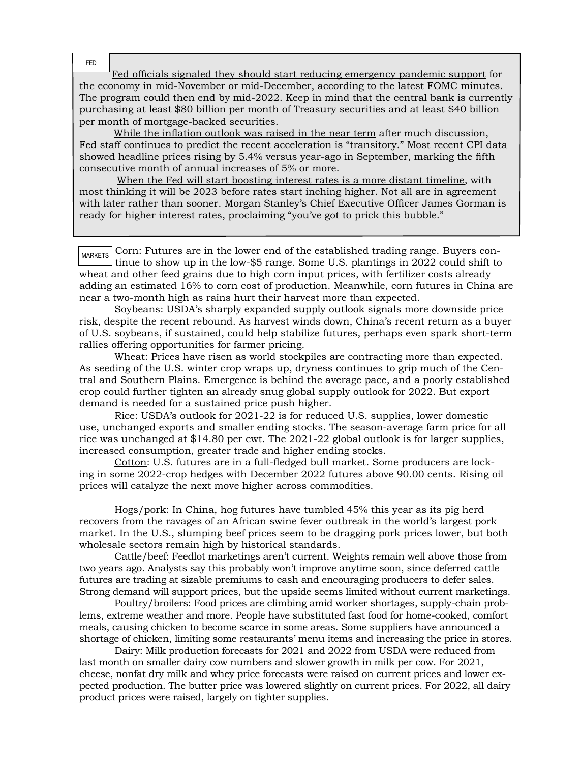FED

Fed officials signaled they should start reducing emergency pandemic support for the economy in mid-November or mid-December, according to the latest FOMC minutes. The program could then end by mid-2022. Keep in mind that the central bank is currently purchasing at least \$80 billion per month of Treasury securities and at least \$40 billion per month of mortgage-backed securities.

 While the inflation outlook was raised in the near term after much discussion, Fed staff continues to predict the recent acceleration is "transitory." Most recent CPI data showed headline prices rising by 5.4% versus year-ago in September, marking the fifth consecutive month of annual increases of 5% or more.

 When the Fed will start boosting interest rates is a more distant timeline, with most thinking it will be 2023 before rates start inching higher. Not all are in agreement with later rather than sooner. Morgan Stanley's Chief Executive Officer James Gorman is ready for higher interest rates, proclaiming "you've got to prick this bubble."

 $_{\text{MARKETS}}$  Corn: Futures are in the lower end of the established trading range. Buyers continue to show up in the low-\$5 range. Some U.S. plantings in 2022 could shift to wheat and other feed grains due to high corn input prices, with fertilizer costs already adding an estimated 16% to corn cost of production. Meanwhile, corn futures in China are near a two-month high as rains hurt their harvest more than expected.

Soybeans: USDA's sharply expanded supply outlook signals more downside price risk, despite the recent rebound. As harvest winds down, China's recent return as a buyer of U.S. soybeans, if sustained, could help stabilize futures, perhaps even spark short-term rallies offering opportunities for farmer pricing.

Wheat: Prices have risen as world stockpiles are contracting more than expected. As seeding of the U.S. winter crop wraps up, dryness continues to grip much of the Central and Southern Plains. Emergence is behind the average pace, and a poorly established crop could further tighten an already snug global supply outlook for 2022. But export demand is needed for a sustained price push higher.

Rice: USDA's outlook for 2021-22 is for reduced U.S. supplies, lower domestic use, unchanged exports and smaller ending stocks. The season-average farm price for all rice was unchanged at \$14.80 per cwt. The 2021-22 global outlook is for larger supplies, increased consumption, greater trade and higher ending stocks.

Cotton: U.S. futures are in a full-fledged bull market. Some producers are locking in some 2022-crop hedges with December 2022 futures above 90.00 cents. Rising oil prices will catalyze the next move higher across commodities.

Hogs/pork: In China, hog futures have tumbled 45% this year as its pig herd recovers from the ravages of an African swine fever outbreak in the world's largest pork market. In the U.S., slumping beef prices seem to be dragging pork prices lower, but both wholesale sectors remain high by historical standards.

Cattle/beef: Feedlot marketings aren't current. Weights remain well above those from two years ago. Analysts say this probably won't improve anytime soon, since deferred cattle futures are trading at sizable premiums to cash and encouraging producers to defer sales. Strong demand will support prices, but the upside seems limited without current marketings.

Poultry/broilers: Food prices are climbing amid worker shortages, supply-chain problems, extreme weather and more. People have substituted fast food for home-cooked, comfort meals, causing chicken to become scarce in some areas. Some suppliers have announced a shortage of chicken, limiting some restaurants' menu items and increasing the price in stores.

Dairy: Milk production forecasts for 2021 and 2022 from USDA were reduced from last month on smaller dairy cow numbers and slower growth in milk per cow. For 2021, cheese, nonfat dry milk and whey price forecasts were raised on current prices and lower expected production. The butter price was lowered slightly on current prices. For 2022, all dairy product prices were raised, largely on tighter supplies.